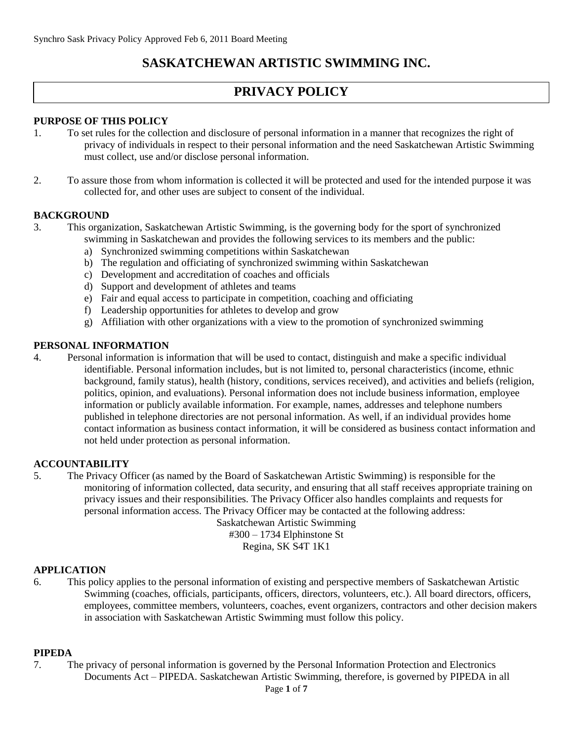# **SASKATCHEWAN ARTISTIC SWIMMING INC.**

# **PRIVACY POLICY**

## **PURPOSE OF THIS POLICY**

- 1. To set rules for the collection and disclosure of personal information in a manner that recognizes the right of privacy of individuals in respect to their personal information and the need Saskatchewan Artistic Swimming must collect, use and/or disclose personal information.
- 2. To assure those from whom information is collected it will be protected and used for the intended purpose it was collected for, and other uses are subject to consent of the individual.

## **BACKGROUND**

- 3. This organization, Saskatchewan Artistic Swimming, is the governing body for the sport of synchronized swimming in Saskatchewan and provides the following services to its members and the public:
	- a) Synchronized swimming competitions within Saskatchewan
	- b) The regulation and officiating of synchronized swimming within Saskatchewan
	- c) Development and accreditation of coaches and officials
	- d) Support and development of athletes and teams
	- e) Fair and equal access to participate in competition, coaching and officiating
	- f) Leadership opportunities for athletes to develop and grow
	- g) Affiliation with other organizations with a view to the promotion of synchronized swimming

## **PERSONAL INFORMATION**

4. Personal information is information that will be used to contact, distinguish and make a specific individual identifiable. Personal information includes, but is not limited to, personal characteristics (income, ethnic background, family status), health (history, conditions, services received), and activities and beliefs (religion, politics, opinion, and evaluations). Personal information does not include business information, employee information or publicly available information. For example, names, addresses and telephone numbers published in telephone directories are not personal information. As well, if an individual provides home contact information as business contact information, it will be considered as business contact information and not held under protection as personal information.

#### **ACCOUNTABILITY**

5. The Privacy Officer (as named by the Board of Saskatchewan Artistic Swimming) is responsible for the monitoring of information collected, data security, and ensuring that all staff receives appropriate training on privacy issues and their responsibilities. The Privacy Officer also handles complaints and requests for personal information access. The Privacy Officer may be contacted at the following address:

Saskatchewan Artistic Swimming #300 – 1734 Elphinstone St Regina, SK S4T 1K1

# **APPLICATION**

6. This policy applies to the personal information of existing and perspective members of Saskatchewan Artistic Swimming (coaches, officials, participants, officers, directors, volunteers, etc.). All board directors, officers, employees, committee members, volunteers, coaches, event organizers, contractors and other decision makers in association with Saskatchewan Artistic Swimming must follow this policy.

# **PIPEDA**

7. The privacy of personal information is governed by the Personal Information Protection and Electronics Documents Act – PIPEDA. Saskatchewan Artistic Swimming, therefore, is governed by PIPEDA in all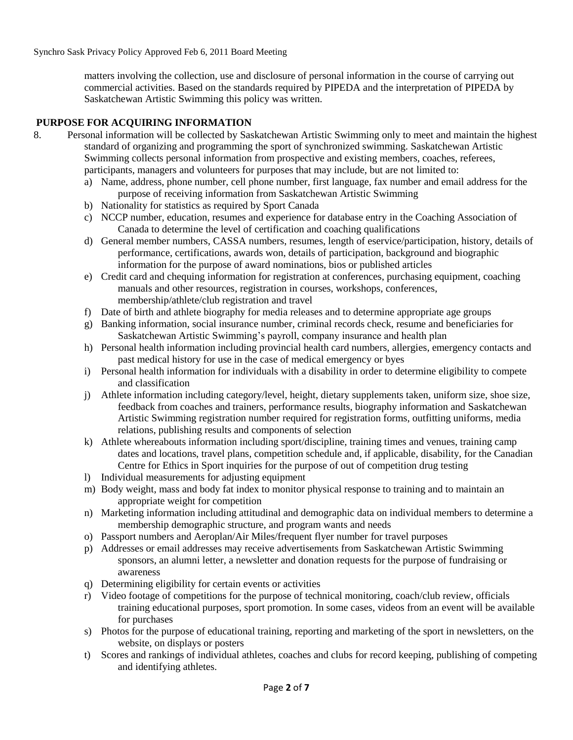matters involving the collection, use and disclosure of personal information in the course of carrying out commercial activities. Based on the standards required by PIPEDA and the interpretation of PIPEDA by Saskatchewan Artistic Swimming this policy was written.

## **PURPOSE FOR ACQUIRING INFORMATION**

- 8. Personal information will be collected by Saskatchewan Artistic Swimming only to meet and maintain the highest standard of organizing and programming the sport of synchronized swimming. Saskatchewan Artistic Swimming collects personal information from prospective and existing members, coaches, referees, participants, managers and volunteers for purposes that may include, but are not limited to:
	- a) Name, address, phone number, cell phone number, first language, fax number and email address for the purpose of receiving information from Saskatchewan Artistic Swimming
	- b) Nationality for statistics as required by Sport Canada
	- c) NCCP number, education, resumes and experience for database entry in the Coaching Association of Canada to determine the level of certification and coaching qualifications
	- d) General member numbers, CASSA numbers, resumes, length of eservice/participation, history, details of performance, certifications, awards won, details of participation, background and biographic information for the purpose of award nominations, bios or published articles
	- e) Credit card and chequing information for registration at conferences, purchasing equipment, coaching manuals and other resources, registration in courses, workshops, conferences, membership/athlete/club registration and travel
	- f) Date of birth and athlete biography for media releases and to determine appropriate age groups
	- g) Banking information, social insurance number, criminal records check, resume and beneficiaries for Saskatchewan Artistic Swimming's payroll, company insurance and health plan
	- h) Personal health information including provincial health card numbers, allergies, emergency contacts and past medical history for use in the case of medical emergency or byes
	- i) Personal health information for individuals with a disability in order to determine eligibility to compete and classification
	- j) Athlete information including category/level, height, dietary supplements taken, uniform size, shoe size, feedback from coaches and trainers, performance results, biography information and Saskatchewan Artistic Swimming registration number required for registration forms, outfitting uniforms, media relations, publishing results and components of selection
	- k) Athlete whereabouts information including sport/discipline, training times and venues, training camp dates and locations, travel plans, competition schedule and, if applicable, disability, for the Canadian Centre for Ethics in Sport inquiries for the purpose of out of competition drug testing
	- l) Individual measurements for adjusting equipment
	- m) Body weight, mass and body fat index to monitor physical response to training and to maintain an appropriate weight for competition
	- n) Marketing information including attitudinal and demographic data on individual members to determine a membership demographic structure, and program wants and needs
	- o) Passport numbers and Aeroplan/Air Miles/frequent flyer number for travel purposes
	- p) Addresses or email addresses may receive advertisements from Saskatchewan Artistic Swimming sponsors, an alumni letter, a newsletter and donation requests for the purpose of fundraising or awareness
	- q) Determining eligibility for certain events or activities
	- r) Video footage of competitions for the purpose of technical monitoring, coach/club review, officials training educational purposes, sport promotion. In some cases, videos from an event will be available for purchases
	- s) Photos for the purpose of educational training, reporting and marketing of the sport in newsletters, on the website, on displays or posters
	- t) Scores and rankings of individual athletes, coaches and clubs for record keeping, publishing of competing and identifying athletes.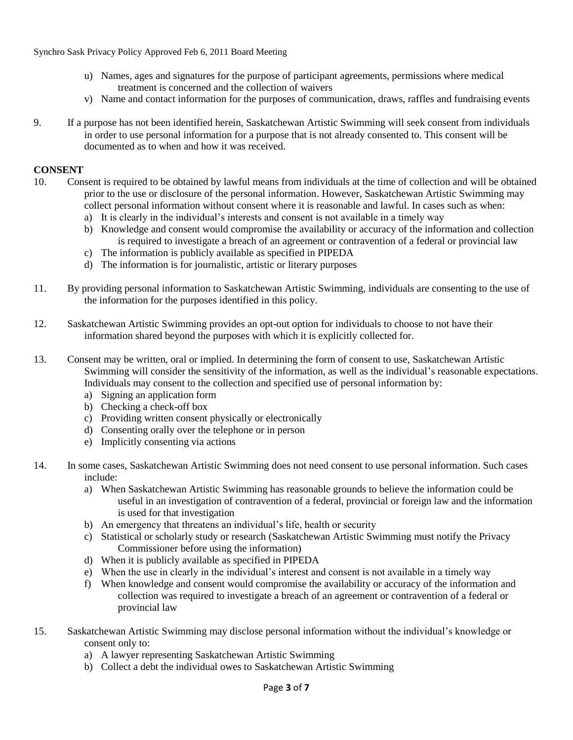Synchro Sask Privacy Policy Approved Feb 6, 2011 Board Meeting

- u) Names, ages and signatures for the purpose of participant agreements, permissions where medical treatment is concerned and the collection of waivers
- v) Name and contact information for the purposes of communication, draws, raffles and fundraising events
- 9. If a purpose has not been identified herein, Saskatchewan Artistic Swimming will seek consent from individuals in order to use personal information for a purpose that is not already consented to. This consent will be documented as to when and how it was received.

## **CONSENT**

- 10. Consent is required to be obtained by lawful means from individuals at the time of collection and will be obtained prior to the use or disclosure of the personal information. However, Saskatchewan Artistic Swimming may collect personal information without consent where it is reasonable and lawful. In cases such as when:
	- a) It is clearly in the individual's interests and consent is not available in a timely way
	- b) Knowledge and consent would compromise the availability or accuracy of the information and collection is required to investigate a breach of an agreement or contravention of a federal or provincial law
	- c) The information is publicly available as specified in PIPEDA
	- d) The information is for journalistic, artistic or literary purposes
- 11. By providing personal information to Saskatchewan Artistic Swimming, individuals are consenting to the use of the information for the purposes identified in this policy.
- 12. Saskatchewan Artistic Swimming provides an opt-out option for individuals to choose to not have their information shared beyond the purposes with which it is explicitly collected for.
- 13. Consent may be written, oral or implied. In determining the form of consent to use, Saskatchewan Artistic Swimming will consider the sensitivity of the information, as well as the individual's reasonable expectations. Individuals may consent to the collection and specified use of personal information by:
	- a) Signing an application form
	- b) Checking a check-off box
	- c) Providing written consent physically or electronically
	- d) Consenting orally over the telephone or in person
	- e) Implicitly consenting via actions
- 14. In some cases, Saskatchewan Artistic Swimming does not need consent to use personal information. Such cases include:
	- a) When Saskatchewan Artistic Swimming has reasonable grounds to believe the information could be useful in an investigation of contravention of a federal, provincial or foreign law and the information is used for that investigation
	- b) An emergency that threatens an individual's life, health or security
	- c) Statistical or scholarly study or research (Saskatchewan Artistic Swimming must notify the Privacy Commissioner before using the information)
	- d) When it is publicly available as specified in PIPEDA
	- e) When the use in clearly in the individual's interest and consent is not available in a timely way
	- f) When knowledge and consent would compromise the availability or accuracy of the information and collection was required to investigate a breach of an agreement or contravention of a federal or provincial law
- 15. Saskatchewan Artistic Swimming may disclose personal information without the individual's knowledge or consent only to:
	- a) A lawyer representing Saskatchewan Artistic Swimming
	- b) Collect a debt the individual owes to Saskatchewan Artistic Swimming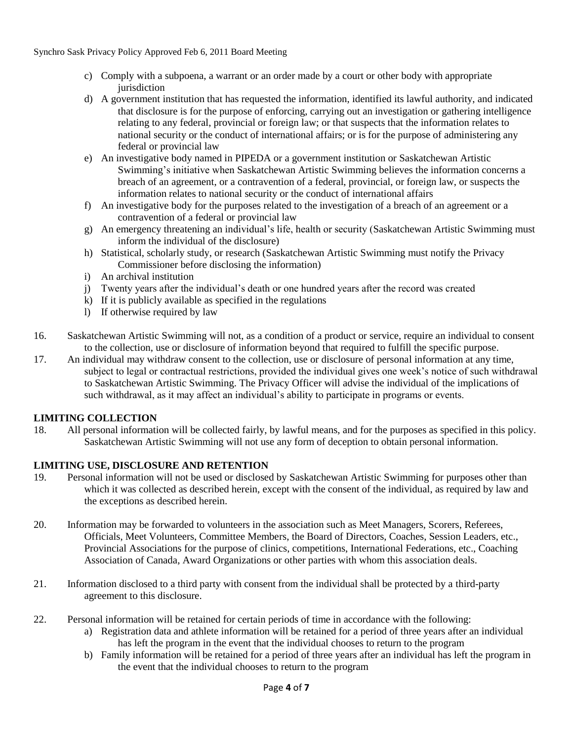- c) Comply with a subpoena, a warrant or an order made by a court or other body with appropriate jurisdiction
- d) A government institution that has requested the information, identified its lawful authority, and indicated that disclosure is for the purpose of enforcing, carrying out an investigation or gathering intelligence relating to any federal, provincial or foreign law; or that suspects that the information relates to national security or the conduct of international affairs; or is for the purpose of administering any federal or provincial law
- e) An investigative body named in PIPEDA or a government institution or Saskatchewan Artistic Swimming's initiative when Saskatchewan Artistic Swimming believes the information concerns a breach of an agreement, or a contravention of a federal, provincial, or foreign law, or suspects the information relates to national security or the conduct of international affairs
- f) An investigative body for the purposes related to the investigation of a breach of an agreement or a contravention of a federal or provincial law
- g) An emergency threatening an individual's life, health or security (Saskatchewan Artistic Swimming must inform the individual of the disclosure)
- h) Statistical, scholarly study, or research (Saskatchewan Artistic Swimming must notify the Privacy Commissioner before disclosing the information)
- i) An archival institution
- j) Twenty years after the individual's death or one hundred years after the record was created
- k) If it is publicly available as specified in the regulations
- l) If otherwise required by law
- 16. Saskatchewan Artistic Swimming will not, as a condition of a product or service, require an individual to consent to the collection, use or disclosure of information beyond that required to fulfill the specific purpose.
- 17. An individual may withdraw consent to the collection, use or disclosure of personal information at any time, subject to legal or contractual restrictions, provided the individual gives one week's notice of such withdrawal to Saskatchewan Artistic Swimming. The Privacy Officer will advise the individual of the implications of such withdrawal, as it may affect an individual's ability to participate in programs or events.

## **LIMITING COLLECTION**

18. All personal information will be collected fairly, by lawful means, and for the purposes as specified in this policy. Saskatchewan Artistic Swimming will not use any form of deception to obtain personal information.

## **LIMITING USE, DISCLOSURE AND RETENTION**

- 19. Personal information will not be used or disclosed by Saskatchewan Artistic Swimming for purposes other than which it was collected as described herein, except with the consent of the individual, as required by law and the exceptions as described herein.
- 20. Information may be forwarded to volunteers in the association such as Meet Managers, Scorers, Referees, Officials, Meet Volunteers, Committee Members, the Board of Directors, Coaches, Session Leaders, etc., Provincial Associations for the purpose of clinics, competitions, International Federations, etc., Coaching Association of Canada, Award Organizations or other parties with whom this association deals.
- 21. Information disclosed to a third party with consent from the individual shall be protected by a third-party agreement to this disclosure.
- 22. Personal information will be retained for certain periods of time in accordance with the following:
	- a) Registration data and athlete information will be retained for a period of three years after an individual has left the program in the event that the individual chooses to return to the program
	- b) Family information will be retained for a period of three years after an individual has left the program in the event that the individual chooses to return to the program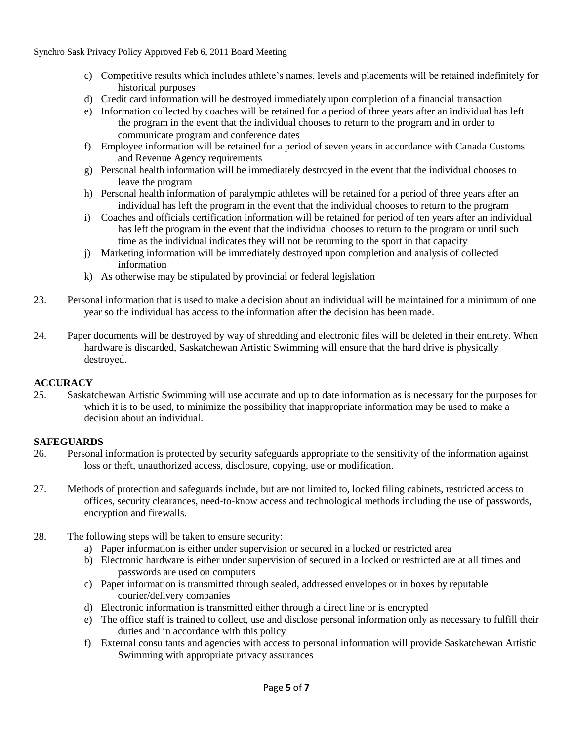Synchro Sask Privacy Policy Approved Feb 6, 2011 Board Meeting

- c) Competitive results which includes athlete's names, levels and placements will be retained indefinitely for historical purposes
- d) Credit card information will be destroyed immediately upon completion of a financial transaction
- e) Information collected by coaches will be retained for a period of three years after an individual has left the program in the event that the individual chooses to return to the program and in order to communicate program and conference dates
- f) Employee information will be retained for a period of seven years in accordance with Canada Customs and Revenue Agency requirements
- g) Personal health information will be immediately destroyed in the event that the individual chooses to leave the program
- h) Personal health information of paralympic athletes will be retained for a period of three years after an individual has left the program in the event that the individual chooses to return to the program
- i) Coaches and officials certification information will be retained for period of ten years after an individual has left the program in the event that the individual chooses to return to the program or until such time as the individual indicates they will not be returning to the sport in that capacity
- j) Marketing information will be immediately destroyed upon completion and analysis of collected information
- k) As otherwise may be stipulated by provincial or federal legislation
- 23. Personal information that is used to make a decision about an individual will be maintained for a minimum of one year so the individual has access to the information after the decision has been made.
- 24. Paper documents will be destroyed by way of shredding and electronic files will be deleted in their entirety. When hardware is discarded, Saskatchewan Artistic Swimming will ensure that the hard drive is physically destroyed.

# **ACCURACY**

25. Saskatchewan Artistic Swimming will use accurate and up to date information as is necessary for the purposes for which it is to be used, to minimize the possibility that inappropriate information may be used to make a decision about an individual.

# **SAFEGUARDS**

- 26. Personal information is protected by security safeguards appropriate to the sensitivity of the information against loss or theft, unauthorized access, disclosure, copying, use or modification.
- 27. Methods of protection and safeguards include, but are not limited to, locked filing cabinets, restricted access to offices, security clearances, need-to-know access and technological methods including the use of passwords, encryption and firewalls.
- 28. The following steps will be taken to ensure security:
	- a) Paper information is either under supervision or secured in a locked or restricted area
	- b) Electronic hardware is either under supervision of secured in a locked or restricted are at all times and passwords are used on computers
	- c) Paper information is transmitted through sealed, addressed envelopes or in boxes by reputable courier/delivery companies
	- d) Electronic information is transmitted either through a direct line or is encrypted
	- e) The office staff is trained to collect, use and disclose personal information only as necessary to fulfill their duties and in accordance with this policy
	- f) External consultants and agencies with access to personal information will provide Saskatchewan Artistic Swimming with appropriate privacy assurances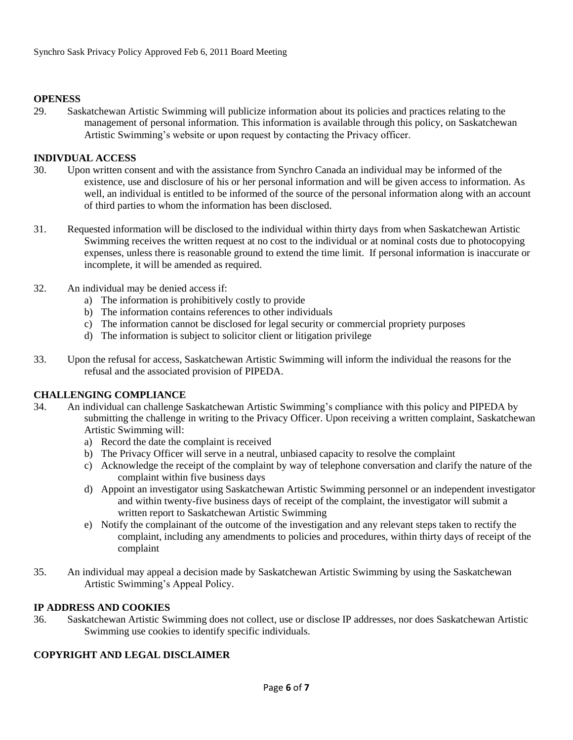## **OPENESS**

29. Saskatchewan Artistic Swimming will publicize information about its policies and practices relating to the management of personal information. This information is available through this policy, on Saskatchewan Artistic Swimming's website or upon request by contacting the Privacy officer.

#### **INDIVDUAL ACCESS**

- 30. Upon written consent and with the assistance from Synchro Canada an individual may be informed of the existence, use and disclosure of his or her personal information and will be given access to information. As well, an individual is entitled to be informed of the source of the personal information along with an account of third parties to whom the information has been disclosed.
- 31. Requested information will be disclosed to the individual within thirty days from when Saskatchewan Artistic Swimming receives the written request at no cost to the individual or at nominal costs due to photocopying expenses, unless there is reasonable ground to extend the time limit. If personal information is inaccurate or incomplete, it will be amended as required.
- 32. An individual may be denied access if:
	- a) The information is prohibitively costly to provide
	- b) The information contains references to other individuals
	- c) The information cannot be disclosed for legal security or commercial propriety purposes
	- d) The information is subject to solicitor client or litigation privilege
- 33. Upon the refusal for access, Saskatchewan Artistic Swimming will inform the individual the reasons for the refusal and the associated provision of PIPEDA.

#### **CHALLENGING COMPLIANCE**

- 34. An individual can challenge Saskatchewan Artistic Swimming's compliance with this policy and PIPEDA by submitting the challenge in writing to the Privacy Officer. Upon receiving a written complaint, Saskatchewan Artistic Swimming will:
	- a) Record the date the complaint is received
	- b) The Privacy Officer will serve in a neutral, unbiased capacity to resolve the complaint
	- c) Acknowledge the receipt of the complaint by way of telephone conversation and clarify the nature of the complaint within five business days
	- d) Appoint an investigator using Saskatchewan Artistic Swimming personnel or an independent investigator and within twenty-five business days of receipt of the complaint, the investigator will submit a written report to Saskatchewan Artistic Swimming
	- e) Notify the complainant of the outcome of the investigation and any relevant steps taken to rectify the complaint, including any amendments to policies and procedures, within thirty days of receipt of the complaint
- 35. An individual may appeal a decision made by Saskatchewan Artistic Swimming by using the Saskatchewan Artistic Swimming's Appeal Policy.

#### **IP ADDRESS AND COOKIES**

36. Saskatchewan Artistic Swimming does not collect, use or disclose IP addresses, nor does Saskatchewan Artistic Swimming use cookies to identify specific individuals.

#### **COPYRIGHT AND LEGAL DISCLAIMER**